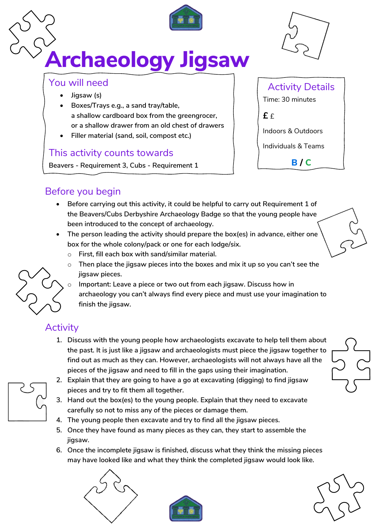

# **Archaeology Jigsaw**

## You will need

- **Jigsaw (s)**
- **Boxes/Trays e.g., a sand tray/table, a shallow cardboard box from the greengrocer, or a shallow drawer from an old chest of drawers**
- **Filler material (sand, soil, compost etc.)**

# This activity counts towards

**Beavers - Requirement 3, Cubs - Requirement 1**



| <b>Activity Details</b> |  |
|-------------------------|--|
| Time: 30 minutes        |  |
| $f{f}$                  |  |
| Indoors & Outdoors      |  |
| Individuals & Teams     |  |
|                         |  |

**B / C**

# Before you begin

- **Before carrying out this activity, it could be helpful to carry out Requirement 1 of the Beavers/Cubs Derbyshire Archaeology Badge so that the young people have been introduced to the concept of archaeology.**
- **The person leading the activity should prepare the box(es) in advance, either one box for the whole colony/pack or one for each lodge/six.**
	- o **First, fill each box with sand/similar material.**
	- o **Then place the jigsaw pieces into the boxes and mix it up so you can't see the jigsaw pieces.**
	- Important: Leave a piece or two out from each jigsaw. Discuss how in **archaeology you can't always find every piece and must use your imagination to finish the jigsaw.**

# Activity

- **1. Discuss with the young people how archaeologists excavate to help tell them about the past. It is just like a jigsaw and archaeologists must piece the jigsaw together to find out as much as they can. However, archaeologists will not always have all the pieces of the jigsaw and need to fill in the gaps using their imagination.**
- **2. Explain that they are going to have a go at excavating (digging) to find jigsaw pieces and try to fit them all together.**
- **3. Hand out the box(es) to the young people. Explain that they need to excavate carefully so not to miss any of the pieces or damage them.**
- **4. The young people then excavate and try to find all the jigsaw pieces.**
- **5. Once they have found as many pieces as they can, they start to assemble the jigsaw.**
- **6. Once the incomplete jigsaw is finished, discuss what they think the missing pieces may have looked like and what they think the completed jigsaw would look like.**